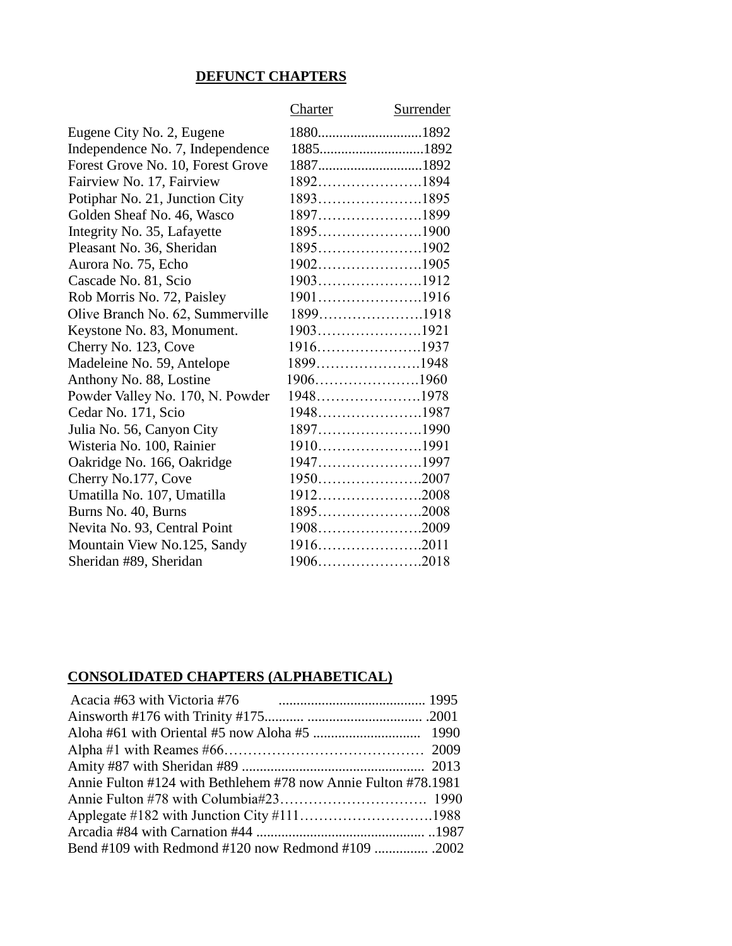## **DEFUNCT CHAPTERS**

|                                   | Charter     | Surrender |
|-----------------------------------|-------------|-----------|
| Eugene City No. 2, Eugene         |             |           |
| Independence No. 7, Independence  |             |           |
| Forest Grove No. 10, Forest Grove |             |           |
| Fairview No. 17, Fairview         | 18921894    |           |
| Potiphar No. 21, Junction City    |             |           |
| Golden Sheaf No. 46, Wasco        | 18971899    |           |
| Integrity No. 35, Lafayette       | 18951900    |           |
| Pleasant No. 36, Sheridan         | 18951902    |           |
| Aurora No. 75, Echo               |             |           |
| Cascade No. 81, Scio              |             |           |
| Rob Morris No. 72, Paisley        |             |           |
| Olive Branch No. 62, Summerville  | 18991918    |           |
| Keystone No. 83, Monument.        | 19031921    |           |
| Cherry No. 123, Cove              | $1916$ 1937 |           |
| Madeleine No. 59, Antelope        |             |           |
| Anthony No. 88, Lostine           | $1906$ 1960 |           |
| Powder Valley No. 170, N. Powder  | 19481978    |           |
| Cedar No. 171, Scio               | 19481987    |           |
| Julia No. 56, Canyon City         | 18971990    |           |
| Wisteria No. 100, Rainier         | 19101991    |           |
| Oakridge No. 166, Oakridge        | 19471997    |           |
| Cherry No.177, Cove               | $1950$ 2007 |           |
| Umatilla No. 107, Umatilla        | $1912$ 2008 |           |
| Burns No. 40, Burns               | $1895$ 2008 |           |
| Nevita No. 93, Central Point      | 19082009    |           |
| Mountain View No.125, Sandy       |             |           |
| Sheridan #89, Sheridan            |             |           |

## **CONSOLIDATED CHAPTERS (ALPHABETICAL)**

| Annie Fulton #124 with Bethlehem #78 now Annie Fulton #78.1981 |  |
|----------------------------------------------------------------|--|
|                                                                |  |
|                                                                |  |
|                                                                |  |
|                                                                |  |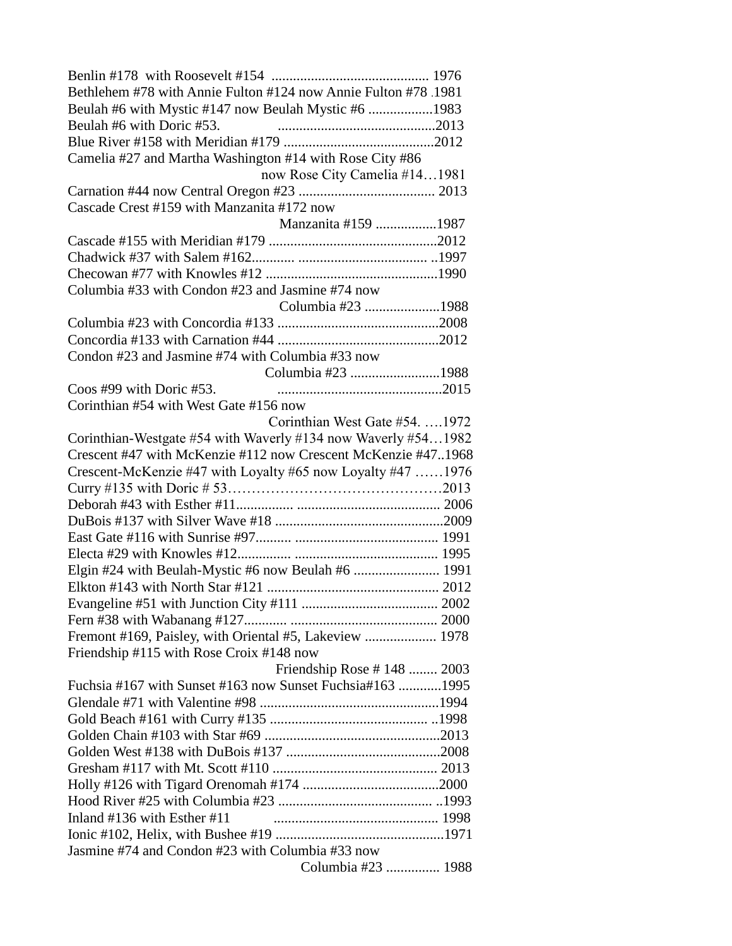| Bethlehem #78 with Annie Fulton #124 now Annie Fulton #78 .1981                                                                |  |
|--------------------------------------------------------------------------------------------------------------------------------|--|
| Beulah #6 with Mystic #147 now Beulah Mystic #6 1983                                                                           |  |
| Beulah #6 with Doric #53.                                                                                                      |  |
|                                                                                                                                |  |
| Camelia #27 and Martha Washington #14 with Rose City #86                                                                       |  |
| now Rose City Camelia #141981                                                                                                  |  |
|                                                                                                                                |  |
| Cascade Crest #159 with Manzanita #172 now                                                                                     |  |
| Manzanita #159 1987                                                                                                            |  |
|                                                                                                                                |  |
|                                                                                                                                |  |
|                                                                                                                                |  |
| Columbia #33 with Condon #23 and Jasmine #74 now                                                                               |  |
| Columbia #23 1988                                                                                                              |  |
|                                                                                                                                |  |
|                                                                                                                                |  |
| Condon #23 and Jasmine #74 with Columbia #33 now                                                                               |  |
| Columbia #23 1988                                                                                                              |  |
| Coos #99 with Doric #53.                                                                                                       |  |
| Corinthian #54 with West Gate #156 now                                                                                         |  |
| Corinthian West Gate #54.  1972                                                                                                |  |
|                                                                                                                                |  |
| Corinthian-Westgate #54 with Waverly #134 now Waverly #541982<br>Crescent #47 with McKenzie #112 now Crescent McKenzie #471968 |  |
|                                                                                                                                |  |
| Crescent-McKenzie #47 with Loyalty #65 now Loyalty #47 1976                                                                    |  |
|                                                                                                                                |  |
|                                                                                                                                |  |
|                                                                                                                                |  |
|                                                                                                                                |  |
|                                                                                                                                |  |
| Elgin #24 with Beulah-Mystic #6 now Beulah #6  1991                                                                            |  |
|                                                                                                                                |  |
|                                                                                                                                |  |
|                                                                                                                                |  |
| Fremont #169, Paisley, with Oriental #5, Lakeview  1978                                                                        |  |
| Friendship #115 with Rose Croix #148 now                                                                                       |  |
| Friendship Rose #148  2003                                                                                                     |  |
| Fuchsia #167 with Sunset #163 now Sunset Fuchsia #163  1995                                                                    |  |
|                                                                                                                                |  |
|                                                                                                                                |  |
|                                                                                                                                |  |
|                                                                                                                                |  |
|                                                                                                                                |  |
|                                                                                                                                |  |
|                                                                                                                                |  |
| Inland #136 with Esther #11                                                                                                    |  |
|                                                                                                                                |  |
| Jasmine #74 and Condon #23 with Columbia #33 now                                                                               |  |
| Columbia #23  1988                                                                                                             |  |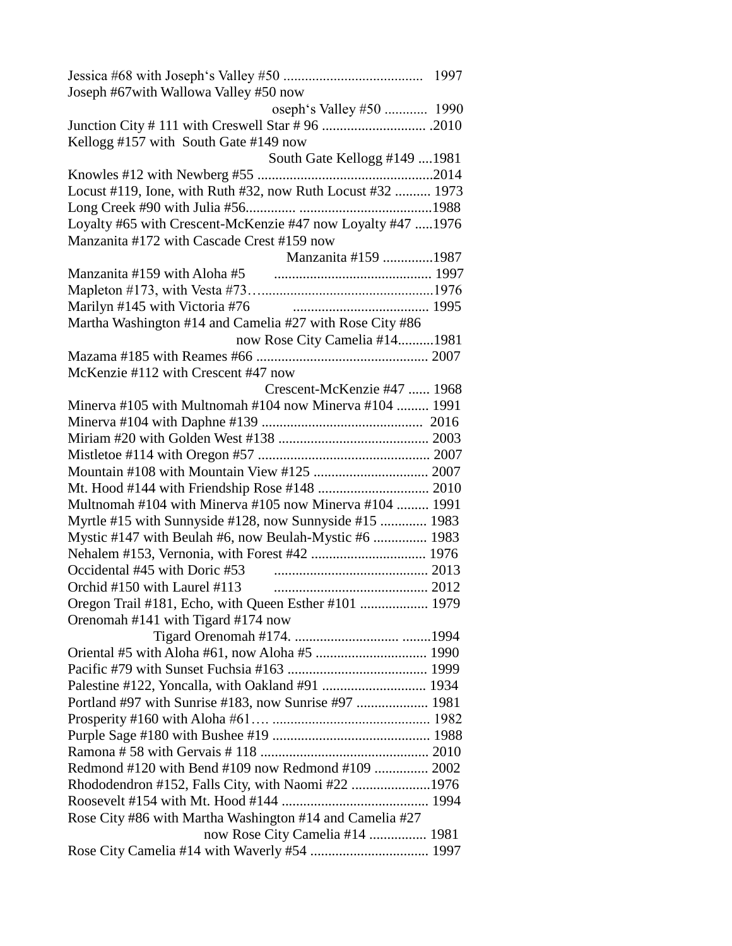| Joseph #67with Wallowa Valley #50 now                       |  |
|-------------------------------------------------------------|--|
| oseph's Valley #50  1990                                    |  |
|                                                             |  |
| Kellogg #157 with South Gate #149 now                       |  |
| South Gate Kellogg #149 1981                                |  |
|                                                             |  |
| Locust #119, Ione, with Ruth #32, now Ruth Locust #32  1973 |  |
|                                                             |  |
| Loyalty #65 with Crescent-McKenzie #47 now Loyalty #47 1976 |  |
| Manzanita #172 with Cascade Crest #159 now                  |  |
| Manzanita #159 1987                                         |  |
|                                                             |  |
|                                                             |  |
| Marilyn #145 with Victoria #76                              |  |
| Martha Washington #14 and Camelia #27 with Rose City #86    |  |
| now Rose City Camelia #141981                               |  |
|                                                             |  |
| McKenzie #112 with Crescent #47 now                         |  |
| Crescent-McKenzie #47  1968                                 |  |
| Minerva #105 with Multnomah #104 now Minerva #104  1991     |  |
|                                                             |  |
|                                                             |  |
|                                                             |  |
|                                                             |  |
|                                                             |  |
| Multnomah #104 with Minerva #105 now Minerva #104  1991     |  |
|                                                             |  |
| Myrtle #15 with Sunnyside #128, now Sunnyside #15  1983     |  |
| Mystic #147 with Beulah #6, now Beulah-Mystic #6  1983      |  |
|                                                             |  |
| Occidental #45 with Doric #53                               |  |
| Orchid #150 with Laurel #113                                |  |
| Oregon Trail #181, Echo, with Queen Esther #101  1979       |  |
| Orenomah #141 with Tigard #174 now                          |  |
|                                                             |  |
|                                                             |  |
|                                                             |  |
|                                                             |  |
|                                                             |  |
|                                                             |  |
|                                                             |  |
|                                                             |  |
| Redmond #120 with Bend #109 now Redmond #109  2002          |  |
| Rhododendron #152, Falls City, with Naomi #22 1976          |  |
|                                                             |  |
| Rose City #86 with Martha Washington #14 and Camelia #27    |  |
| now Rose City Camelia #14  1981                             |  |
|                                                             |  |